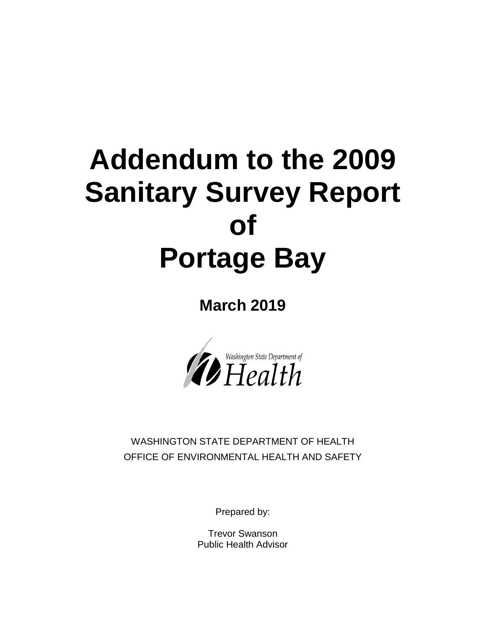# **Addendum to the 2009 Sanitary Survey Report of Portage Bay**

**March 2019**



WASHINGTON STATE DEPARTMENT OF HEALTH OFFICE OF ENVIRONMENTAL HEALTH AND SAFETY

Prepared by:

Trevor Swanson Public Health Advisor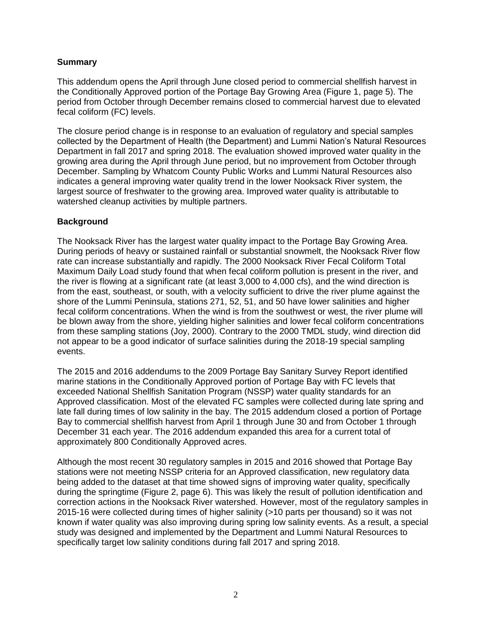#### **Summary**

This addendum opens the April through June closed period to commercial shellfish harvest in the Conditionally Approved portion of the Portage Bay Growing Area (Figure 1, page 5). The period from October through December remains closed to commercial harvest due to elevated fecal coliform (FC) levels.

The closure period change is in response to an evaluation of regulatory and special samples collected by the Department of Health (the Department) and Lummi Nation's Natural Resources Department in fall 2017 and spring 2018. The evaluation showed improved water quality in the growing area during the April through June period, but no improvement from October through December. Sampling by Whatcom County Public Works and Lummi Natural Resources also indicates a general improving water quality trend in the lower Nooksack River system, the largest source of freshwater to the growing area. Improved water quality is attributable to watershed cleanup activities by multiple partners.

#### **Background**

The Nooksack River has the largest water quality impact to the Portage Bay Growing Area. During periods of heavy or sustained rainfall or substantial snowmelt, the Nooksack River flow rate can increase substantially and rapidly. The 2000 Nooksack River Fecal Coliform Total Maximum Daily Load study found that when fecal coliform pollution is present in the river, and the river is flowing at a significant rate (at least 3,000 to 4,000 cfs), and the wind direction is from the east, southeast, or south, with a velocity sufficient to drive the river plume against the shore of the Lummi Peninsula, stations 271, 52, 51, and 50 have lower salinities and higher fecal coliform concentrations. When the wind is from the southwest or west, the river plume will be blown away from the shore, yielding higher salinities and lower fecal coliform concentrations from these sampling stations (Joy, 2000). Contrary to the 2000 TMDL study, wind direction did not appear to be a good indicator of surface salinities during the 2018-19 special sampling events.

The 2015 and 2016 addendums to the 2009 Portage Bay Sanitary Survey Report identified marine stations in the Conditionally Approved portion of Portage Bay with FC levels that exceeded National Shellfish Sanitation Program (NSSP) water quality standards for an Approved classification. Most of the elevated FC samples were collected during late spring and late fall during times of low salinity in the bay. The 2015 addendum closed a portion of Portage Bay to commercial shellfish harvest from April 1 through June 30 and from October 1 through December 31 each year. The 2016 addendum expanded this area for a current total of approximately 800 Conditionally Approved acres.

Although the most recent 30 regulatory samples in 2015 and 2016 showed that Portage Bay stations were not meeting NSSP criteria for an Approved classification, new regulatory data being added to the dataset at that time showed signs of improving water quality, specifically during the springtime (Figure 2, page 6). This was likely the result of pollution identification and correction actions in the Nooksack River watershed. However, most of the regulatory samples in 2015-16 were collected during times of higher salinity (>10 parts per thousand) so it was not known if water quality was also improving during spring low salinity events. As a result, a special study was designed and implemented by the Department and Lummi Natural Resources to specifically target low salinity conditions during fall 2017 and spring 2018.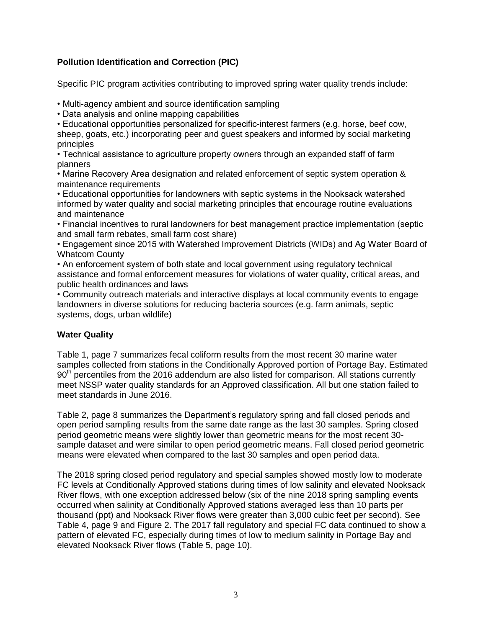## **Pollution Identification and Correction (PIC)**

Specific PIC program activities contributing to improved spring water quality trends include:

• Multi-agency ambient and source identification sampling

• Data analysis and online mapping capabilities

• Educational opportunities personalized for specific-interest farmers (e.g. horse, beef cow, sheep, goats, etc.) incorporating peer and guest speakers and informed by social marketing principles

• Technical assistance to agriculture property owners through an expanded staff of farm planners

• Marine Recovery Area designation and related enforcement of septic system operation & maintenance requirements

• Educational opportunities for landowners with septic systems in the Nooksack watershed informed by water quality and social marketing principles that encourage routine evaluations and maintenance

• Financial incentives to rural landowners for best management practice implementation (septic and small farm rebates, small farm cost share)

• Engagement since 2015 with Watershed Improvement Districts (WIDs) and Ag Water Board of Whatcom County

• An enforcement system of both state and local government using regulatory technical assistance and formal enforcement measures for violations of water quality, critical areas, and public health ordinances and laws

• Community outreach materials and interactive displays at local community events to engage landowners in diverse solutions for reducing bacteria sources (e.g. farm animals, septic systems, dogs, urban wildlife)

### **Water Quality**

Table 1, page 7 summarizes fecal coliform results from the most recent 30 marine water samples collected from stations in the Conditionally Approved portion of Portage Bay. Estimated 90<sup>th</sup> percentiles from the 2016 addendum are also listed for comparison. All stations currently meet NSSP water quality standards for an Approved classification. All but one station failed to meet standards in June 2016.

Table 2, page 8 summarizes the Department's regulatory spring and fall closed periods and open period sampling results from the same date range as the last 30 samples. Spring closed period geometric means were slightly lower than geometric means for the most recent 30 sample dataset and were similar to open period geometric means. Fall closed period geometric means were elevated when compared to the last 30 samples and open period data.

The 2018 spring closed period regulatory and special samples showed mostly low to moderate FC levels at Conditionally Approved stations during times of low salinity and elevated Nooksack River flows, with one exception addressed below (six of the nine 2018 spring sampling events occurred when salinity at Conditionally Approved stations averaged less than 10 parts per thousand (ppt) and Nooksack River flows were greater than 3,000 cubic feet per second). See Table 4, page 9 and Figure 2. The 2017 fall regulatory and special FC data continued to show a pattern of elevated FC, especially during times of low to medium salinity in Portage Bay and elevated Nooksack River flows (Table 5, page 10).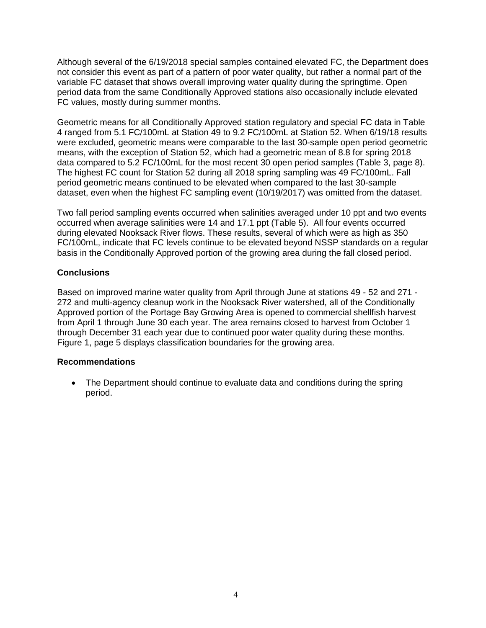Although several of the 6/19/2018 special samples contained elevated FC, the Department does not consider this event as part of a pattern of poor water quality, but rather a normal part of the variable FC dataset that shows overall improving water quality during the springtime. Open period data from the same Conditionally Approved stations also occasionally include elevated FC values, mostly during summer months.

Geometric means for all Conditionally Approved station regulatory and special FC data in Table 4 ranged from 5.1 FC/100mL at Station 49 to 9.2 FC/100mL at Station 52. When 6/19/18 results were excluded, geometric means were comparable to the last 30-sample open period geometric means, with the exception of Station 52, which had a geometric mean of 8.8 for spring 2018 data compared to 5.2 FC/100mL for the most recent 30 open period samples (Table 3, page 8). The highest FC count for Station 52 during all 2018 spring sampling was 49 FC/100mL. Fall period geometric means continued to be elevated when compared to the last 30-sample dataset, even when the highest FC sampling event (10/19/2017) was omitted from the dataset.

Two fall period sampling events occurred when salinities averaged under 10 ppt and two events occurred when average salinities were 14 and 17.1 ppt (Table 5). All four events occurred during elevated Nooksack River flows. These results, several of which were as high as 350 FC/100mL, indicate that FC levels continue to be elevated beyond NSSP standards on a regular basis in the Conditionally Approved portion of the growing area during the fall closed period.

#### **Conclusions**

Based on improved marine water quality from April through June at stations 49 - 52 and 271 - 272 and multi-agency cleanup work in the Nooksack River watershed, all of the Conditionally Approved portion of the Portage Bay Growing Area is opened to commercial shellfish harvest from April 1 through June 30 each year. The area remains closed to harvest from October 1 through December 31 each year due to continued poor water quality during these months. Figure 1, page 5 displays classification boundaries for the growing area.

#### **Recommendations**

 The Department should continue to evaluate data and conditions during the spring period.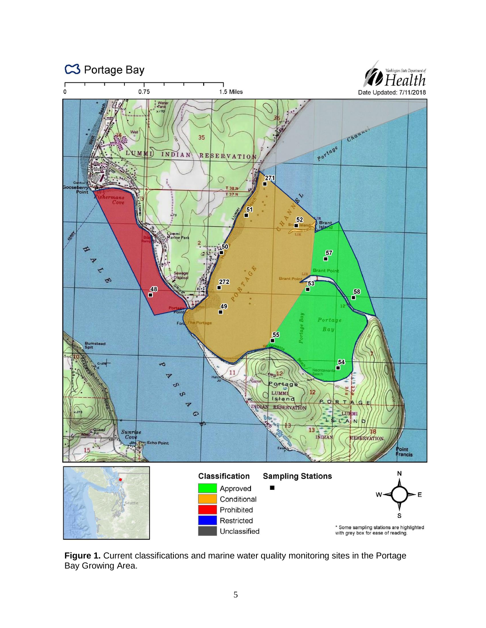

Figure 1. Current classifications and marine water quality monitoring sites in the Portage Bay Growing Area.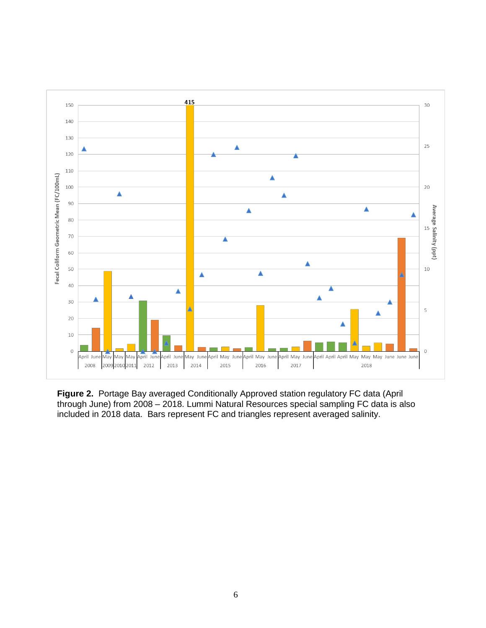

**Figure 2.** Portage Bay averaged Conditionally Approved station regulatory FC data (April through June) from 2008 – 2018. Lummi Natural Resources special sampling FC data is also included in 2018 data. Bars represent FC and triangles represent averaged salinity.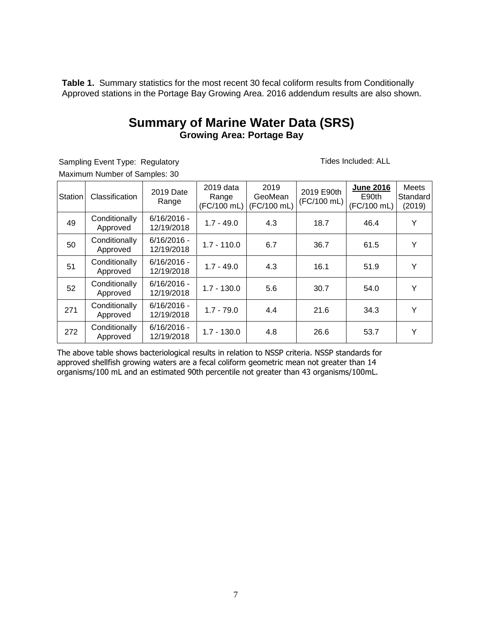**Table 1.** Summary statistics for the most recent 30 fecal coliform results from Conditionally Approved stations in the Portage Bay Growing Area. 2016 addendum results are also shown.

# **Summary of Marine Water Data (SRS) Growing Area: Portage Bay**

Sampling Event Type: Regulatory *Tides Included: ALL* Maximum Number of Samples: 30

| Station | Classification            | 2019 Date<br>Range          | 2019 data<br>Range<br>(FC/100 mL) | 2019<br>GeoMean<br>(FC/100 mL) | 2019 E90th<br>(FC/100 mL) | <b>June 2016</b><br>E90th<br>(FC/100 mL) | Meets<br>Standard<br>(2019) |
|---------|---------------------------|-----------------------------|-----------------------------------|--------------------------------|---------------------------|------------------------------------------|-----------------------------|
| 49      | Conditionally<br>Approved | $6/16/2016 -$<br>12/19/2018 | $1.7 - 49.0$                      | 4.3                            | 18.7                      | 46.4                                     | Y                           |
| 50      | Conditionally<br>Approved | $6/16/2016 -$<br>12/19/2018 | $1.7 - 110.0$                     | 6.7                            | 36.7                      | 61.5                                     | Y                           |
| 51      | Conditionally<br>Approved | $6/16/2016 -$<br>12/19/2018 | $1.7 - 49.0$                      | 4.3                            | 16.1                      | 51.9                                     | Y                           |
| 52      | Conditionally<br>Approved | $6/16/2016 -$<br>12/19/2018 | $1.7 - 130.0$                     | 5.6                            | 30.7                      | 54.0                                     | Υ                           |
| 271     | Conditionally<br>Approved | $6/16/2016 -$<br>12/19/2018 | $1.7 - 79.0$                      | 4.4                            | 21.6                      | 34.3                                     | Y                           |
| 272     | Conditionally<br>Approved | $6/16/2016 -$<br>12/19/2018 | $1.7 - 130.0$                     | 4.8                            | 26.6                      | 53.7                                     | Υ                           |

The above table shows bacteriological results in relation to NSSP criteria. NSSP standards for approved shellfish growing waters are a fecal coliform geometric mean not greater than 14 organisms/100 mL and an estimated 90th percentile not greater than 43 organisms/100mL.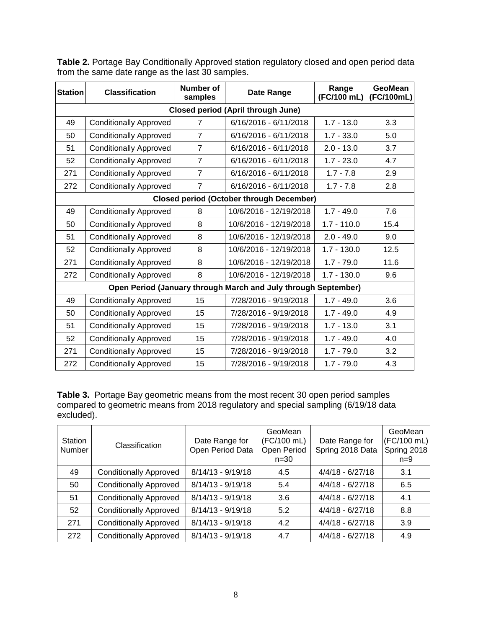| <b>Station</b>                                  | <b>Classification</b>         | <b>Number of</b><br>samples | Date Range                                                     | Range<br>(FC/100 mL) | <b>GeoMean</b><br>(FC/100mL) |  |  |  |  |  |  |
|-------------------------------------------------|-------------------------------|-----------------------------|----------------------------------------------------------------|----------------------|------------------------------|--|--|--|--|--|--|
| <b>Closed period (April through June)</b>       |                               |                             |                                                                |                      |                              |  |  |  |  |  |  |
| 49                                              | <b>Conditionally Approved</b> | $\overline{7}$              | 6/16/2016 - 6/11/2018                                          | $1.7 - 13.0$         | 3.3                          |  |  |  |  |  |  |
| 50                                              | <b>Conditionally Approved</b> | $\overline{7}$              | 6/16/2016 - 6/11/2018                                          | $1.7 - 33.0$         | 5.0                          |  |  |  |  |  |  |
| 51                                              | <b>Conditionally Approved</b> | $\overline{7}$              | 6/16/2016 - 6/11/2018                                          | $2.0 - 13.0$         | 3.7                          |  |  |  |  |  |  |
| 52                                              | <b>Conditionally Approved</b> | $\overline{7}$              | 6/16/2016 - 6/11/2018                                          | $1.7 - 23.0$         | 4.7                          |  |  |  |  |  |  |
| 271                                             | <b>Conditionally Approved</b> | $\overline{7}$              | 6/16/2016 - 6/11/2018                                          | $1.7 - 7.8$          | 2.9                          |  |  |  |  |  |  |
| 272                                             | <b>Conditionally Approved</b> | $\overline{7}$              | 6/16/2016 - 6/11/2018                                          | $1.7 - 7.8$          | 2.8                          |  |  |  |  |  |  |
| <b>Closed period (October through December)</b> |                               |                             |                                                                |                      |                              |  |  |  |  |  |  |
| 49                                              | <b>Conditionally Approved</b> | 8                           | 10/6/2016 - 12/19/2018                                         | $1.7 - 49.0$         | 7.6                          |  |  |  |  |  |  |
| 50                                              | <b>Conditionally Approved</b> | 8                           | 10/6/2016 - 12/19/2018                                         | $1.7 - 110.0$        | 15.4                         |  |  |  |  |  |  |
| 51                                              | <b>Conditionally Approved</b> | 8                           | 10/6/2016 - 12/19/2018                                         | $2.0 - 49.0$         | 9.0                          |  |  |  |  |  |  |
| 52                                              | <b>Conditionally Approved</b> | 8                           | 10/6/2016 - 12/19/2018                                         | $1.7 - 130.0$        | 12.5                         |  |  |  |  |  |  |
| 271                                             | <b>Conditionally Approved</b> | 8                           | 10/6/2016 - 12/19/2018                                         | $1.7 - 79.0$         | 11.6                         |  |  |  |  |  |  |
| 272                                             | <b>Conditionally Approved</b> | 8                           | 10/6/2016 - 12/19/2018                                         | $1.7 - 130.0$        | 9.6                          |  |  |  |  |  |  |
|                                                 |                               |                             | Open Period (January through March and July through September) |                      |                              |  |  |  |  |  |  |
| 49                                              | <b>Conditionally Approved</b> | 15                          | 7/28/2016 - 9/19/2018                                          | $1.7 - 49.0$         | 3.6                          |  |  |  |  |  |  |
| 50                                              | <b>Conditionally Approved</b> | 15                          | 7/28/2016 - 9/19/2018                                          | $1.7 - 49.0$         | 4.9                          |  |  |  |  |  |  |
| 51                                              | <b>Conditionally Approved</b> | 15                          | 7/28/2016 - 9/19/2018                                          | $1.7 - 13.0$         | 3.1                          |  |  |  |  |  |  |
| 52                                              | <b>Conditionally Approved</b> | 15                          | 7/28/2016 - 9/19/2018                                          | $1.7 - 49.0$         | 4.0                          |  |  |  |  |  |  |
| 271                                             | <b>Conditionally Approved</b> | 15                          | 7/28/2016 - 9/19/2018                                          | $1.7 - 79.0$         | 3.2                          |  |  |  |  |  |  |
| 272                                             | <b>Conditionally Approved</b> | 15                          | 7/28/2016 - 9/19/2018                                          | $1.7 - 79.0$         | 4.3                          |  |  |  |  |  |  |

**Table 2.** Portage Bay Conditionally Approved station regulatory closed and open period data from the same date range as the last 30 samples.

**Table 3.** Portage Bay geometric means from the most recent 30 open period samples compared to geometric means from 2018 regulatory and special sampling (6/19/18 data excluded).

| Station<br>Number | Classification                | Date Range for<br>Open Period Data | GeoMean<br>(FC/100 mL)<br>Open Period<br>$n = 30$ | Date Range for<br>Spring 2018 Data | GeoMean<br>(FC/100 mL)<br>Spring 2018<br>$n=9$ |
|-------------------|-------------------------------|------------------------------------|---------------------------------------------------|------------------------------------|------------------------------------------------|
| 49                | <b>Conditionally Approved</b> | $8/14/13 - 9/19/18$                | 4.5                                               | $4/4/18 - 6/27/18$                 | 3.1                                            |
| 50                | <b>Conditionally Approved</b> | $8/14/13 - 9/19/18$                | 5.4                                               | $4/4/18 - 6/27/18$                 | 6.5                                            |
| 51                | <b>Conditionally Approved</b> | $8/14/13 - 9/19/18$                | 3.6                                               | $4/4/18 - 6/27/18$                 | 4.1                                            |
| 52                | <b>Conditionally Approved</b> | $8/14/13 - 9/19/18$                | 5.2                                               | $4/4/18 - 6/27/18$                 | 8.8                                            |
| 271               | <b>Conditionally Approved</b> | $8/14/13 - 9/19/18$                | 4.2                                               | $4/4/18 - 6/27/18$                 | 3.9                                            |
| 272               | <b>Conditionally Approved</b> | $8/14/13 - 9/19/18$                | 4.7                                               | $4/4/18 - 6/27/18$                 | 4.9                                            |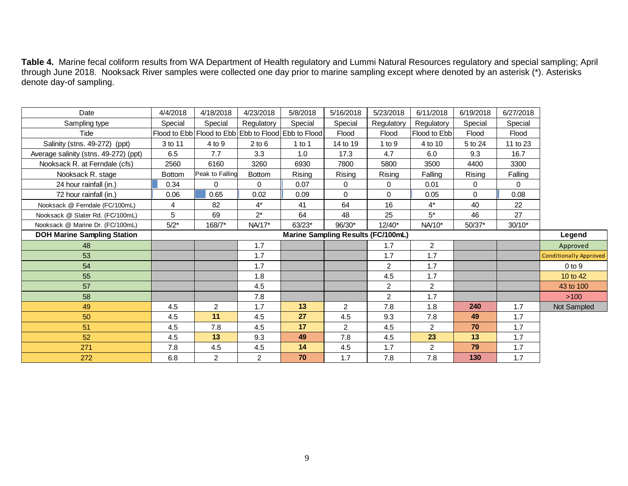**Table 4.** Marine fecal coliform results from WA Department of Health regulatory and Lummi Natural Resources regulatory and special sampling; April through June 2018. Nooksack River samples were collected one day prior to marine sampling except where denoted by an asterisk (\*). Asterisks denote day-of sampling.

| Date                                  | 4/4/2018                           | 4/18/2018       | 4/23/2018      | 5/8/2018                                            | 5/16/2018      | 5/23/2018      | 6/11/2018      | 6/19/2018 | 6/27/2018 |                               |
|---------------------------------------|------------------------------------|-----------------|----------------|-----------------------------------------------------|----------------|----------------|----------------|-----------|-----------|-------------------------------|
| Sampling type                         | Special                            | Special         | Regulatory     | Special                                             | Special        | Regulatory     | Regulatory     | Special   | Special   |                               |
| Tide                                  |                                    |                 |                | Flood to Ebb Flood to Ebb Ebb to Flood Ebb to Flood | Flood          | Flood          | Flood to Ebb   | Flood     | Flood     |                               |
| Salinity (stns. 49-272) (ppt)         | 3 to 11                            | 4 to 9          | $2$ to $6$     | $1$ to $1$                                          | 14 to 19       | 1 to 9         | 4 to 10        | 5 to 24   | 11 to 23  |                               |
| Average salinity (stns. 49-272) (ppt) | 6.5                                | 7.7             | 3.3            | 1.0                                                 | 17.3           | 4.7            | 6.0            | 9.3       | 16.7      |                               |
| Nooksack R. at Ferndale (cfs)         | 2560                               | 6160            | 3260           | 6930                                                | 7800           | 5800           | 3500           | 4400      | 3300      |                               |
| Nooksack R. stage                     | <b>Bottom</b>                      | Peak to Falling | <b>Bottom</b>  | Rising                                              | Rising         | Rising         | Falling        | Rising    | Falling   |                               |
| 24 hour rainfall (in.)                | 0.34                               | $\Omega$        | $\Omega$       | 0.07                                                | $\Omega$       | $\mathbf 0$    | 0.01           | 0         | $\Omega$  |                               |
| 72 hour rainfall (in.)                | 0.06                               | 0.65            | 0.02           | 0.09                                                | $\Omega$       | $\Omega$       | 0.05           | $\Omega$  | 0.08      |                               |
| Nooksack @ Ferndale (FC/100mL)        | 4                                  | 82              | $4^*$          | 41                                                  | 64             | 16             | $4^*$          | 40        | 22        |                               |
| Nooksack @ Slater Rd. (FC/100mL)      | 5                                  | 69              | $2^*$          | 64                                                  | 48             | 25             | $5^*$          | 46        | 27        |                               |
| Nooksack @ Marine Dr. (FC/100mL)      | $5/2*$                             | 168/7*          | NA/17*         | $63/23*$                                            | 96/30*         | $12/40*$       | NA/10*         | $50/37*$  | $30/10*$  |                               |
| <b>DOH Marine Sampling Station</b>    | Marine Sampling Results (FC/100mL) |                 |                |                                                     |                |                |                |           |           | Legend                        |
| 48                                    |                                    |                 | 1.7            |                                                     |                | 1.7            | $\overline{2}$ |           |           | Approved                      |
| 53                                    |                                    |                 | 1.7            |                                                     |                | 1.7            | 1.7            |           |           | <b>Conditionally Approved</b> |
| 54                                    |                                    |                 | 1.7            |                                                     |                | $\overline{2}$ | 1.7            |           |           | $0$ to $9$                    |
| 55                                    |                                    |                 | 1.8            |                                                     |                | 4.5            | 1.7            |           |           | 10 to 42                      |
| 57                                    |                                    |                 | 4.5            |                                                     |                | $\overline{2}$ | $\overline{2}$ |           |           | 43 to 100                     |
| 58                                    |                                    |                 | 7.8            |                                                     |                | $\overline{2}$ | 1.7            |           |           | >100                          |
| 49                                    | 4.5                                | $\overline{2}$  | 1.7            | 13                                                  | $\overline{2}$ | 7.8            | 1.8            | 240       | 1.7       | Not Sampled                   |
| 50                                    | 4.5                                | 11              | 4.5            | 27                                                  | 4.5            | 9.3            | 7.8            | 49        | 1.7       |                               |
| 51                                    | 4.5                                | 7.8             | 4.5            | 17                                                  | $\overline{2}$ | 4.5            | $\overline{2}$ | 70        | 1.7       |                               |
| 52                                    | 4.5                                | 13              | 9.3            | 49                                                  | 7.8            | 4.5            | 23             | 13        | 1.7       |                               |
| 271                                   | 7.8                                | 4.5             | 4.5            | 14                                                  | 4.5            | 1.7            | $\overline{2}$ | 79        | 1.7       |                               |
| 272                                   | 6.8                                | $\overline{2}$  | $\overline{2}$ | 70                                                  | 1.7            | 7.8            | 7.8            | 130       | 1.7       |                               |
|                                       |                                    |                 |                |                                                     |                |                |                |           |           |                               |